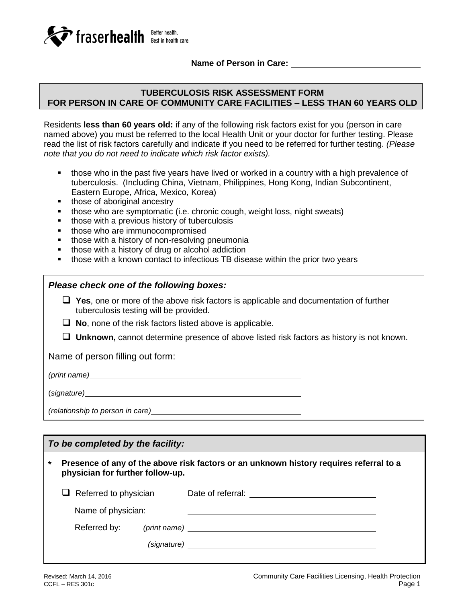

**Name of Person in Care:** 

## **TUBERCULOSIS RISK ASSESSMENT FORM FOR PERSON IN CARE OF COMMUNITY CARE FACILITIES – LESS THAN 60 YEARS OLD**

Residents **less than 60 years old:** if any of the following risk factors exist for you (person in care named above) you must be referred to the local Health Unit or your doctor for further testing. Please read the list of risk factors carefully and indicate if you need to be referred for further testing. *(Please note that you do not need to indicate which risk factor exists).*

- those who in the past five years have lived or worked in a country with a high prevalence of tuberculosis. (Including China, Vietnam, Philippines, Hong Kong, Indian Subcontinent, Eastern Europe, Africa, Mexico, Korea)
- those of aboriginal ancestry
- those who are symptomatic (i.e. chronic cough, weight loss, night sweats)
- **those with a previous history of tuberculosis**
- those who are immunocompromised
- **those with a history of non-resolving pneumonia**
- **those with a history of drug or alcohol addiction**
- those with a known contact to infectious TB disease within the prior two years

#### *Please check one of the following boxes:*

- **Yes**, one or more of the above risk factors is applicable and documentation of further tuberculosis testing will be provided.
- **No**, none of the risk factors listed above is applicable.
- **Unknown,** cannot determine presence of above listed risk factors as history is not known.

Name of person filling out form:

*(print name)*

(*signature)*

*(relationship to person in care)*

### *To be completed by the facility:*

**\* Presence of any of the above risk factors or an unknown history requires referral to a physician for further follow-up.**

|  | $\Box$ Referred to physician<br>Name of physician: |             | Date of referral:                                                                                               |  |  |
|--|----------------------------------------------------|-------------|-----------------------------------------------------------------------------------------------------------------|--|--|
|  |                                                    |             |                                                                                                                 |  |  |
|  | Referred by:                                       |             | (print name) and the contract of the contract of the contract of the contract of the contract of the contract o |  |  |
|  |                                                    | (signature) |                                                                                                                 |  |  |